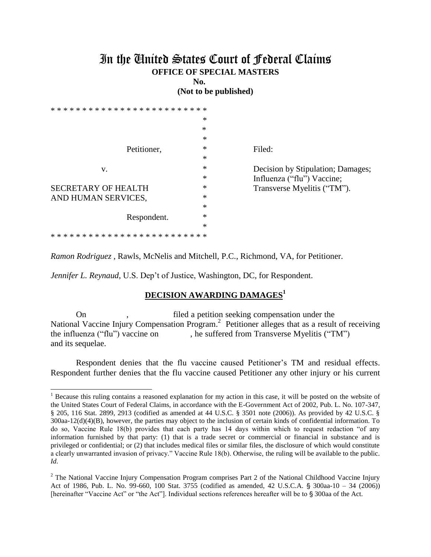## In the United States Court of Federal Claims **OFFICE OF SPECIAL MASTERS**

**No.** 

**(Not to be published)**

|                                         | $\ast$ |                                   |
|-----------------------------------------|--------|-----------------------------------|
|                                         | $\ast$ |                                   |
|                                         | *      |                                   |
| Petitioner,                             | *      | Filed:                            |
|                                         | $\ast$ |                                   |
| V.                                      | $\ast$ | Decision by Stipulation; Damages; |
|                                         | *      | Influenza ("flu") Vaccine;        |
| <b>SECRETARY OF HEALTH</b>              | *      | Transverse Myelitis ("TM").       |
| AND HUMAN SERVICES,                     | $\ast$ |                                   |
|                                         | $\ast$ |                                   |
| Respondent.                             | $\ast$ |                                   |
|                                         | $\ast$ |                                   |
| * * * * * * * * * * * * * * * * * * * * |        |                                   |

*Ramon Rodriguez ,* Rawls, McNelis and Mitchell, P.C., Richmond, VA, for Petitioner.

*Jennifer L. Reynaud*, U.S. Dep't of Justice, Washington, DC, for Respondent.

 $\overline{a}$ 

## **DECISION AWARDING DAMAGES 1**

On , filed a petition seeking compensation under the National Vaccine Injury Compensation Program.<sup>2</sup> Petitioner alleges that as a result of receiving the influenza ("flu") vaccine on , he suffered from Transverse Myelitis ("TM") and its sequelae.

Respondent denies that the flu vaccine caused Petitioner's TM and residual effects. Respondent further denies that the flu vaccine caused Petitioner any other injury or his current

 $<sup>1</sup>$  Because this ruling contains a reasoned explanation for my action in this case, it will be posted on the website of</sup> the United States Court of Federal Claims, in accordance with the E-Government Act of 2002, Pub. L. No. 107-347, § 205, 116 Stat. 2899, 2913 (codified as amended at 44 U.S.C. § 3501 note (2006)). As provided by 42 U.S.C. § 300aa-12(d)(4)(B), however, the parties may object to the inclusion of certain kinds of confidential information. To do so, Vaccine Rule 18(b) provides that each party has 14 days within which to request redaction "of any information furnished by that party: (1) that is a trade secret or commercial or financial in substance and is privileged or confidential; or (2) that includes medical files or similar files, the disclosure of which would constitute a clearly unwarranted invasion of privacy." Vaccine Rule 18(b). Otherwise, the ruling will be available to the public. *Id.*

<sup>&</sup>lt;sup>2</sup> The National Vaccine Injury Compensation Program comprises Part 2 of the National Childhood Vaccine Injury Act of 1986, Pub. L. No. 99-660, 100 Stat. 3755 (codified as amended, 42 U.S.C.A. § 300aa-10 – 34 (2006)) [hereinafter "Vaccine Act" or "the Act"]. Individual sections references hereafter will be to § 300aa of the Act.